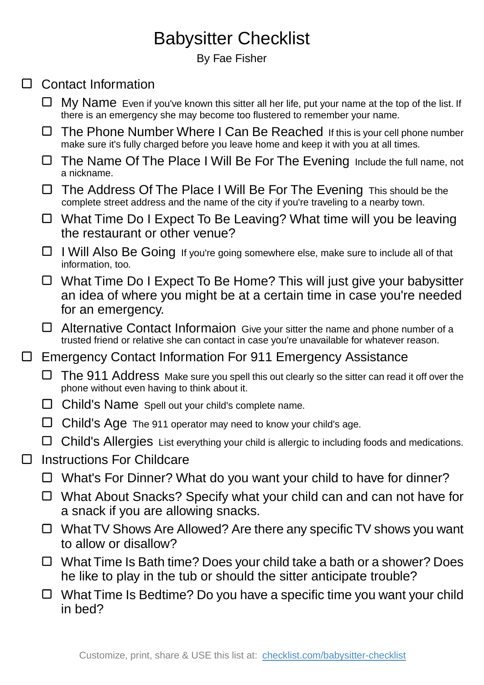## Babysitter Checklist

By Fae Fisher

## □ Contact Information

- $\Box$  My Name Even if you've known this sitter all her life, put your name at the top of the list. If there is an emergency she may become too flustered to remember your name.
- $\Box$  The Phone Number Where I Can Be Reached If this is your cell phone number make sure it's fully charged before you leave home and keep it with you at all times.
- $\Box$  The Name Of The Place I Will Be For The Evening Include the full name, not a nickname.
- The Address Of The Place I Will Be For The Evening This should be the complete street address and the name of the city if you're traveling to a nearby town.
- □ What Time Do I Expect To Be Leaving? What time will you be leaving the restaurant or other venue?
- □ I Will Also Be Going If you're going somewhere else, make sure to include all of that information, too.
- □ What Time Do I Expect To Be Home? This will just give your babysitter an idea of where you might be at a certain time in case you're needed for an emergency.
- $\Box$  Alternative Contact Informaion Give your sitter the name and phone number of a trusted friend or relative she can contact in case you're unavailable for whatever reason.
- □ Emergency Contact Information For 911 Emergency Assistance
	- The 911 Address Make sure you spell this out clearly so the sitter can read it off over the phone without even having to think about it.
	- $\Box$  Child's Name Spell out your child's complete name.
	- $\Box$  Child's Age The 911 operator may need to know your child's age.
	- Child's Allergies List everything your child is allergic to including foods and medications.
- Instructions For Childcare  $\Box$ 
	- □ What's For Dinner? What do you want your child to have for dinner?
	- □ What About Snacks? Specify what your child can and can not have for a snack if you are allowing snacks.
	- $\Box$  What TV Shows Are Allowed? Are there any specific TV shows you want to allow or disallow?
	- $\Box$  What Time Is Bath time? Does your child take a bath or a shower? Does he like to play in the tub or should the sitter anticipate trouble?
	- $\Box$  What Time Is Bedtime? Do you have a specific time you want your child in bed?